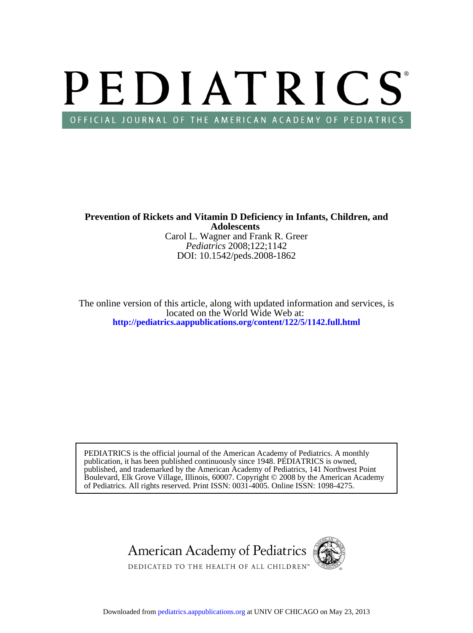# PEDIATRICS OFFICIAL JOURNAL OF THE AMERICAN ACADEMY OF PEDIATRICS

DOI: 10.1542/peds.2008-1862 *Pediatrics* 2008;122;1142 Carol L. Wagner and Frank R. Greer **Adolescents Prevention of Rickets and Vitamin D Deficiency in Infants, Children, and**

**<http://pediatrics.aappublications.org/content/122/5/1142.full.html>** located on the World Wide Web at: The online version of this article, along with updated information and services, is

of Pediatrics. All rights reserved. Print ISSN: 0031-4005. Online ISSN: 1098-4275. Boulevard, Elk Grove Village, Illinois, 60007. Copyright © 2008 by the American Academy published, and trademarked by the American Academy of Pediatrics, 141 Northwest Point publication, it has been published continuously since 1948. PEDIATRICS is owned, PEDIATRICS is the official journal of the American Academy of Pediatrics. A monthly

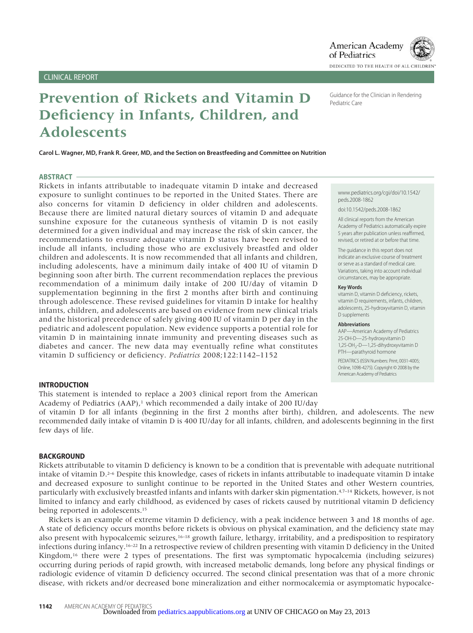# **Prevention of Rickets and Vitamin D Deficiency in Infants, Children, and Adolescents**

**Carol L. Wagner, MD, Frank R. Greer, MD, and the Section on Breastfeeding and Committee on Nutrition**

#### **ABSTRACT**

Rickets in infants attributable to inadequate vitamin D intake and decreased exposure to sunlight continues to be reported in the United States. There are also concerns for vitamin D deficiency in older children and adolescents. Because there are limited natural dietary sources of vitamin D and adequate sunshine exposure for the cutaneous synthesis of vitamin D is not easily determined for a given individual and may increase the risk of skin cancer, the recommendations to ensure adequate vitamin D status have been revised to include all infants, including those who are exclusively breastfed and older children and adolescents. It is now recommended that all infants and children, including adolescents, have a minimum daily intake of 400 IU of vitamin D beginning soon after birth. The current recommendation replaces the previous recommendation of a minimum daily intake of 200 IU/day of vitamin D supplementation beginning in the first 2 months after birth and continuing through adolescence. These revised guidelines for vitamin D intake for healthy infants, children, and adolescents are based on evidence from new clinical trials and the historical precedence of safely giving 400 IU of vitamin D per day in the pediatric and adolescent population. New evidence supports a potential role for vitamin D in maintaining innate immunity and preventing diseases such as diabetes and cancer. The new data may eventually refine what constitutes vitamin D sufficiency or deficiency. *Pediatrics* 2008;122:1142–1152

#### **INTRODUCTION**

This statement is intended to replace a 2003 clinical report from the American Academy of Pediatrics (AAP),<sup>1</sup> which recommended a daily intake of 200 IU/day

of vitamin D for all infants (beginning in the first 2 months after birth), children, and adolescents. The new recommended daily intake of vitamin D is 400 IU/day for all infants, children, and adolescents beginning in the first few days of life.

#### **BACKGROUND**

Rickets attributable to vitamin D deficiency is known to be a condition that is preventable with adequate nutritional intake of vitamin D.2–6 Despite this knowledge, cases of rickets in infants attributable to inadequate vitamin D intake and decreased exposure to sunlight continue to be reported in the United States and other Western countries, particularly with exclusively breastfed infants and infants with darker skin pigmentation.<sup>4,7–14</sup> Rickets, however, is not limited to infancy and early childhood, as evidenced by cases of rickets caused by nutritional vitamin D deficiency being reported in adolescents.15

Rickets is an example of extreme vitamin D deficiency, with a peak incidence between 3 and 18 months of age. A state of deficiency occurs months before rickets is obvious on physical examination, and the deficiency state may also present with hypocalcemic seizures, $16-18$  growth failure, lethargy, irritability, and a predisposition to respiratory infections during infancy.16–22 In a retrospective review of children presenting with vitamin D deficiency in the United Kingdom,16 there were 2 types of presentations. The first was symptomatic hypocalcemia (including seizures) occurring during periods of rapid growth, with increased metabolic demands, long before any physical findings or radiologic evidence of vitamin D deficiency occurred. The second clinical presentation was that of a more chronic disease, with rickets and/or decreased bone mineralization and either normocalcemia or asymptomatic hypocalce-

Guidance for the Clinician in Rendering Pediatric Care

of Pediatrics

www.pediatrics.org/cgi/doi/10.1542/ peds.2008-1862

doi:10.1542/peds.2008-1862

All clinical reports from the American Academy of Pediatrics automatically expire 5 years after publication unless reaffirmed, revised, or retired at or before that time.

The guidance in this report does not indicate an exclusive course of treatment or serve as a standard of medical care. Variations, taking into account individual circumstances, may be appropriate.

#### **Key Words**

vitamin D, vitamin D deficiency, rickets, vitamin D requirements, infants, children, adolescents, 25-hydroxyvitamin D, vitamin D supplements

#### **Abbreviations**

AAP—American Academy of Pediatrics 25-OH-D—25-hydroxyvitamin D 1,25-OH<sub>2</sub>-D-1,25-dihydroxyvitamin D PTH—parathyroid hormone PEDIATRICS (ISSN Numbers: Print, 0031-4005; Online, 1098-4275). Copyright © 2008 by the American Academy of Pediatrics

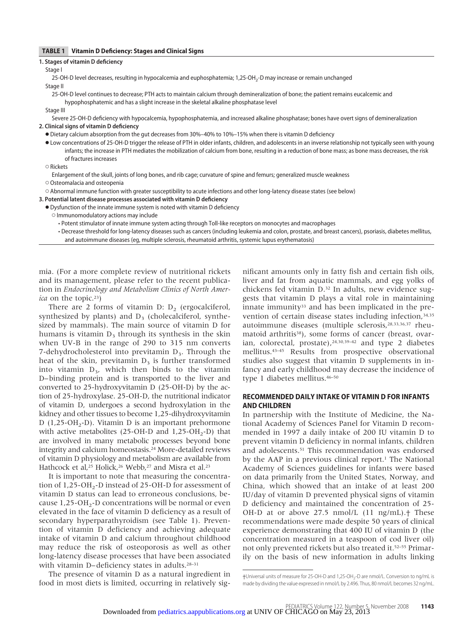#### **TABLE 1 Vitamin D Deficiency: Stages and Clinical Signs**

| <b>TABLE 1</b> Vitamin D Deficiency: Stages and Clinical Signs                                                                                                                                                                                                                                                                                    |
|---------------------------------------------------------------------------------------------------------------------------------------------------------------------------------------------------------------------------------------------------------------------------------------------------------------------------------------------------|
| 1. Stages of vitamin D deficiency                                                                                                                                                                                                                                                                                                                 |
| Stage I                                                                                                                                                                                                                                                                                                                                           |
| 25-OH-D level decreases, resulting in hypocalcemia and euphosphatemia; 1,25-OH <sub>2</sub> -D may increase or remain unchanged                                                                                                                                                                                                                   |
| Stage II                                                                                                                                                                                                                                                                                                                                          |
| 25-OH-D level continues to decrease; PTH acts to maintain calcium through demineralization of bone; the patient remains eucalcemic and                                                                                                                                                                                                            |
| hypophosphatemic and has a slight increase in the skeletal alkaline phosphatase level                                                                                                                                                                                                                                                             |
| Stage III                                                                                                                                                                                                                                                                                                                                         |
| Severe 25-OH-D deficiency with hypocalcemia, hypophosphatemia, and increased alkaline phosphatase; bones have overt signs of demineralization                                                                                                                                                                                                     |
| 2. Clinical signs of vitamin D deficiency                                                                                                                                                                                                                                                                                                         |
| • Dietary calcium absorption from the gut decreases from 30%–40% to 10%–15% when there is vitamin D deficiency                                                                                                                                                                                                                                    |
| • Low concentrations of 25-OH-D trigger the release of PTH in older infants, children, and adolescents in an inverse relationship not typically seen with young<br>infants; the increase in PTH mediates the mobilization of calcium from bone, resulting in a reduction of bone mass; as bone mass decreases, the risk<br>of fractures increases |
| $\circ$ Rickets                                                                                                                                                                                                                                                                                                                                   |
| Enlargement of the skull, joints of long bones, and rib cage; curvature of spine and femurs; generalized muscle weakness                                                                                                                                                                                                                          |
| ○ Osteomalacia and osteopenia                                                                                                                                                                                                                                                                                                                     |
| O Abnormal immune function with greater susceptibility to acute infections and other long-latency disease states (see below)                                                                                                                                                                                                                      |
| 3. Potential latent disease processes associated with vitamin D deficiency                                                                                                                                                                                                                                                                        |
| • Dysfunction of the innate immune system is noted with vitamin D deficiency                                                                                                                                                                                                                                                                      |
| O Immunomodulatory actions may include                                                                                                                                                                                                                                                                                                            |
| • Potent stimulator of innate immune system acting through Toll-like receptors on monocytes and macrophages                                                                                                                                                                                                                                       |
| • Decrease threshold for long-latency diseases such as cancers (including leukemia and colon, prostate, and breast cancers), psoriasis, diabetes mellitus,<br>and autoimmune diseases (eq, multiple sclerosis, rheumatoid arthritis, systemic lupus erythematosis)                                                                                |

mia. (For a more complete review of nutritional rickets and its management, please refer to the recent publication in *Endocrinology and Metabolism Clinics of North America* on the topic.23)

There are 2 forms of vitamin D:  $D_2$  (ergocalciferol, synthesized by plants) and  $D_3$  (cholecalciferol, synthesized by mammals). The main source of vitamin D for humans is vitamin  $D_3$  through its synthesis in the skin when UV-B in the range of 290 to 315 nm converts 7-dehydrocholesterol into previtamin  $D_3$ . Through the heat of the skin, previtamin  $D_3$  is further transformed into vitamin  $D_3$ , which then binds to the vitamin D– binding protein and is transported to the liver and converted to 25-hydroxyvitamin D (25-OH-D) by the action of 25-hydroxylase. 25-OH-D, the nutritional indicator of vitamin D, undergoes a second hydroxylation in the kidney and other tissues to become 1,25-dihydroxyvitamin D  $(1,25\text{-}OH_{2}\text{-}D)$ . Vitamin D is an important prehormone with active metabolites (25-OH-D and  $1,25$ -OH<sub>2</sub>-D) that are involved in many metabolic processes beyond bone integrity and calcium homeostasis.24 More-detailed reviews of vitamin D physiology and metabolism are available from Hathcock et al,<sup>25</sup> Holick,<sup>26</sup> Webb,<sup>27</sup> and Misra et al.<sup>23</sup>

It is important to note that measuring the concentration of 1,25-OH<sub>2</sub>-D instead of 25-OH-D for assessment of vitamin D status can lead to erroneous conclusions, because  $1,25$ -OH<sub>2</sub>-D concentrations will be normal or even elevated in the face of vitamin D deficiency as a result of secondary hyperparathyroidism (see Table 1). Prevention of vitamin D deficiency and achieving adequate intake of vitamin D and calcium throughout childhood may reduce the risk of osteoporosis as well as other long-latency disease processes that have been associated with vitamin D– deficiency states in adults.<sup>28–31</sup>

The presence of vitamin D as a natural ingredient in food in most diets is limited, occurring in relatively significant amounts only in fatty fish and certain fish oils, liver and fat from aquatic mammals, and egg yolks of chickens fed vitamin D.32 In adults, new evidence suggests that vitamin D plays a vital role in maintaining innate immunity<sup>33</sup> and has been implicated in the prevention of certain disease states including infection, 34,35 autoimmune diseases (multiple sclerosis,28,33,36,37 rheumatoid arthritis<sup>38</sup>), some forms of cancer (breast, ovarian, colorectal, prostate),  $24,30,39-42$  and type 2 diabetes mellitus.43–45 Results from prospective observational studies also suggest that vitamin D supplements in infancy and early childhood may decrease the incidence of type 1 diabetes mellitus.46–50

#### **RECOMMENDED DAILY INTAKE OF VITAMIN D FOR INFANTS AND CHILDREN**

In partnership with the Institute of Medicine, the National Academy of Sciences Panel for Vitamin D recommended in 1997 a daily intake of 200 IU vitamin D to prevent vitamin D deficiency in normal infants, children and adolescents.51 This recommendation was endorsed by the AAP in a previous clinical report.<sup>1</sup> The National Academy of Sciences guidelines for infants were based on data primarily from the United States, Norway, and China, which showed that an intake of at least 200 IU/day of vitamin D prevented physical signs of vitamin D deficiency and maintained the concentration of 25- OH-D at or above  $27.5 \text{ mmol/L}$  (11  $\text{ng/mL}$ ). These recommendations were made despite 50 years of clinical experience demonstrating that 400 IU of vitamin D (the concentration measured in a teaspoon of cod liver oil) not only prevented rickets but also treated it.52–55 Primarily on the basis of new information in adults linking

<sup>†</sup>Universal units of measure for 25-OH-D and 1,25-OH2-D are nmol/L. Conversion to ng/mL is made by dividing the value expressed in nmol/L by 2.496. Thus, 80 nmol/L becomes 32 ng/mL.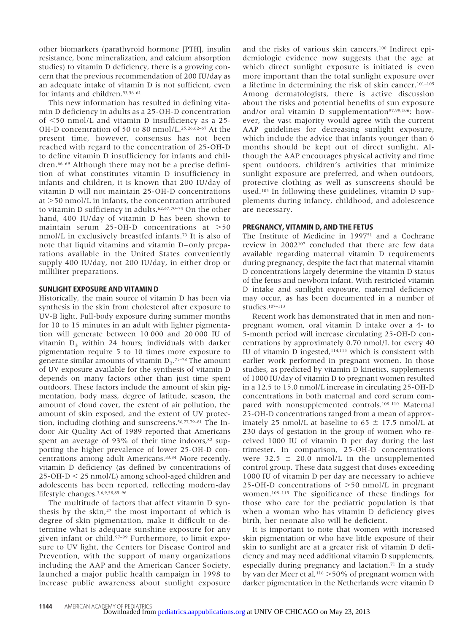other biomarkers (parathyroid hormone [PTH], insulin resistance, bone mineralization, and calcium absorption studies) to vitamin D deficiency, there is a growing concern that the previous recommendation of 200 IU/day as an adequate intake of vitamin D is not sufficient, even for infants and children.<sup>53,56-61</sup>

This new information has resulted in defining vitamin D deficiency in adults as a 25-OH-D concentration of 50 nmol/L and vitamin D insufficiency as a 25- OH-D concentration of 50 to 80 nmol/L.25,26,62–67 At the present time, however, consensus has not been reached with regard to the concentration of 25-OH-D to define vitamin D insufficiency for infants and children.66–69 Although there may not be a precise definition of what constitutes vitamin D insufficiency in infants and children, it is known that 200 IU/day of vitamin D will not maintain 25-OH-D concentrations at >50 nmol/L in infants, the concentration attributed to vitamin D sufficiency in adults.62,67,70–74 On the other hand, 400 IU/day of vitamin D has been shown to maintain serum  $25-OH-D$  concentrations at  $>50$ nmol/L in exclusively breastfed infants.73 It is also of note that liquid vitamins and vitamin D– only preparations available in the United States conveniently supply 400 IU/day, not 200 IU/day, in either drop or milliliter preparations.

#### **SUNLIGHT EXPOSURE AND VITAMIN D**

Historically, the main source of vitamin D has been via synthesis in the skin from cholesterol after exposure to UV-B light. Full-body exposure during summer months for 10 to 15 minutes in an adult with lighter pigmentation will generate between 10 000 and 20 000 IU of vitamin  $D_3$  within 24 hours; individuals with darker pigmentation require 5 to 10 times more exposure to generate similar amounts of vitamin  $D_3$ .<sup>75–78</sup> The amount of UV exposure available for the synthesis of vitamin D depends on many factors other than just time spent outdoors. These factors include the amount of skin pigmentation, body mass, degree of latitude, season, the amount of cloud cover, the extent of air pollution, the amount of skin exposed, and the extent of UV protection, including clothing and sunscreens.56,77,79–81 The Indoor Air Quality Act of 1989 reported that Americans spent an average of 93% of their time indoors, $82$  supporting the higher prevalence of lower 25-OH-D concentrations among adult Americans.83,84 More recently, vitamin D deficiency (as defined by concentrations of  $25$ -OH-D  $\leq$  25 nmol/L) among school-aged children and adolescents has been reported, reflecting modern-day lifestyle changes.3,6,9,58,85–96

The multitude of factors that affect vitamin D synthesis by the skin,27 the most important of which is degree of skin pigmentation, make it difficult to determine what is adequate sunshine exposure for any given infant or child.97–99 Furthermore, to limit exposure to UV light, the Centers for Disease Control and Prevention, with the support of many organizations including the AAP and the American Cancer Society, launched a major public health campaign in 1998 to increase public awareness about sunlight exposure

and the risks of various skin cancers.100 Indirect epidemiologic evidence now suggests that the age at which direct sunlight exposure is initiated is even more important than the total sunlight exposure over a lifetime in determining the risk of skin cancer.101–105 Among dermatologists, there is active discussion about the risks and potential benefits of sun exposure and/or oral vitamin D supplementation<sup>97,99,106</sup>; however, the vast majority would agree with the current AAP guidelines for decreasing sunlight exposure, which include the advice that infants younger than 6 months should be kept out of direct sunlight. Although the AAP encourages physical activity and time spent outdoors, children's activities that minimize sunlight exposure are preferred, and when outdoors, protective clothing as well as sunscreens should be used.105 In following these guidelines, vitamin D supplements during infancy, childhood, and adolescence are necessary.

#### **PREGNANCY, VITAMIN D, AND THE FETUS**

The Institute of Medicine in 1997<sup>51</sup> and a Cochrane review in 2002107 concluded that there are few data available regarding maternal vitamin D requirements during pregnancy, despite the fact that maternal vitamin D concentrations largely determine the vitamin D status of the fetus and newborn infant. With restricted vitamin D intake and sunlight exposure, maternal deficiency may occur, as has been documented in a number of studies.107–113

Recent work has demonstrated that in men and nonpregnant women, oral vitamin D intake over a 4- to 5-month period will increase circulating 25-OH-D concentrations by approximately 0.70 nmol/L for every 40 IU of vitamin D ingested,114,115 which is consistent with earlier work performed in pregnant women. In those studies, as predicted by vitamin D kinetics, supplements of 1000 IU/day of vitamin D to pregnant women resulted in a 12.5 to 15.0 nmol/L increase in circulating 25-OH-D concentrations in both maternal and cord serum compared with nonsupplemented controls.108–110 Maternal 25-OH-D concentrations ranged from a mean of approximately 25 nmol/L at baseline to 65  $\pm$  17.5 nmol/L at 230 days of gestation in the group of women who received 1000 IU of vitamin D per day during the last trimester. In comparison, 25-OH-D concentrations were  $32.5 \pm 20.0 \text{ nmol/L}$  in the unsupplemented control group. These data suggest that doses exceeding 1000 IU of vitamin D per day are necessary to achieve  $25$ -OH-D concentrations of  $>50$  nmol/L in pregnant women.108–115 The significance of these findings for those who care for the pediatric population is that when a woman who has vitamin D deficiency gives birth, her neonate also will be deficient.

It is important to note that women with increased skin pigmentation or who have little exposure of their skin to sunlight are at a greater risk of vitamin D deficiency and may need additional vitamin D supplements, especially during pregnancy and lactation.71 In a study by van der Meer et al,<sup>116</sup> >50% of pregnant women with darker pigmentation in the Netherlands were vitamin D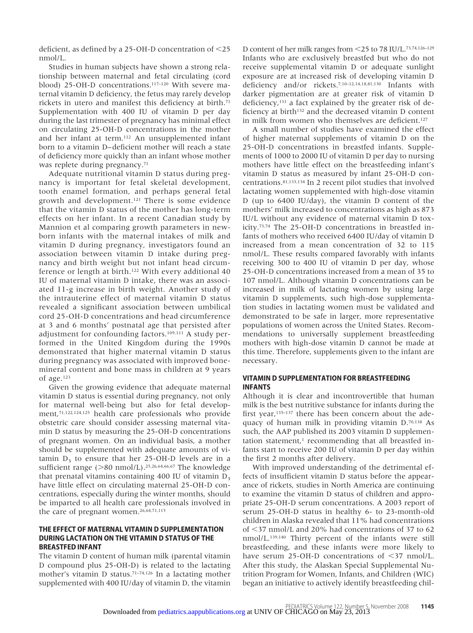deficient, as defined by a  $25$ -OH-D concentration of  $\leq$ 25 nmol/L.

Studies in human subjects have shown a strong relationship between maternal and fetal circulating (cord blood) 25-OH-D concentrations.117–120 With severe maternal vitamin D deficiency, the fetus may rarely develop rickets in utero and manifest this deficiency at birth.<sup>71</sup> Supplementation with 400 IU of vitamin D per day during the last trimester of pregnancy has minimal effect on circulating 25-OH-D concentrations in the mother and her infant at term.112 An unsupplemented infant born to a vitamin D– deficient mother will reach a state of deficiency more quickly than an infant whose mother was replete during pregnancy.71

Adequate nutritional vitamin D status during pregnancy is important for fetal skeletal development, tooth enamel formation, and perhaps general fetal growth and development.121 There is some evidence that the vitamin D status of the mother has long-term effects on her infant. In a recent Canadian study by Mannion et al comparing growth parameters in newborn infants with the maternal intakes of milk and vitamin D during pregnancy, investigators found an association between vitamin D intake during pregnancy and birth weight but not infant head circumference or length at birth.122 With every additional 40 IU of maternal vitamin D intake, there was an associated 11-g increase in birth weight. Another study of the intrauterine effect of maternal vitamin D status revealed a significant association between umbilical cord 25-OH-D concentrations and head circumference at 3 and 6 months' postnatal age that persisted after adjustment for confounding factors.109,111 A study performed in the United Kingdom during the 1990s demonstrated that higher maternal vitamin D status during pregnancy was associated with improved bonemineral content and bone mass in children at 9 years of age.123

Given the growing evidence that adequate maternal vitamin D status is essential during pregnancy, not only for maternal well-being but also for fetal development,71,122,124,125 health care professionals who provide obstetric care should consider assessing maternal vitamin D status by measuring the 25-OH-D concentrations of pregnant women. On an individual basis, a mother should be supplemented with adequate amounts of vitamin  $D_3$  to ensure that her 25-OH-D levels are in a sufficient range (>80 nmol/L).<sup>25,26,64,66,67</sup> The knowledge that prenatal vitamins containing 400 IU of vitamin  $D_3$ have little effect on circulating maternal 25-OH-D concentrations, especially during the winter months, should be imparted to all health care professionals involved in the care of pregnant women.<sup>26,64,71,115</sup>

#### **THE EFFECT OF MATERNAL VITAMIN D SUPPLEMENTATION DURING LACTATION ON THE VITAMIN D STATUS OF THE BREASTFED INFANT**

The vitamin D content of human milk (parental vitamin D compound plus 25-OH-D) is related to the lactating mother's vitamin D status.71–74,126 In a lactating mother supplemented with 400 IU/day of vitamin D, the vitamin

D content of her milk ranges from 25 to 78 IU/L.73,74,126–129 Infants who are exclusively breastfed but who do not receive supplemental vitamin D or adequate sunlight exposure are at increased risk of developing vitamin D deficiency and/or rickets.7,10–12,14,18,81,130 Infants with darker pigmentation are at greater risk of vitamin D deficiency,131 a fact explained by the greater risk of deficiency at birth<sup>132</sup> and the decreased vitamin D content in milk from women who themselves are deficient.<sup>127</sup>

A small number of studies have examined the effect of higher maternal supplements of vitamin D on the 25-OH-D concentrations in breastfed infants. Supplements of 1000 to 2000 IU of vitamin D per day to nursing mothers have little effect on the breastfeeding infant's vitamin D status as measured by infant 25-OH-D concentrations.81,133,134 In 2 recent pilot studies that involved lactating women supplemented with high-dose vitamin D (up to 6400 IU/day), the vitamin D content of the mothers' milk increased to concentrations as high as 873 IU/L without any evidence of maternal vitamin D toxicity.73,74 The 25-OH-D concentrations in breastfed infants of mothers who received 6400 IU/day of vitamin D increased from a mean concentration of 32 to 115 nmol/L. These results compared favorably with infants receiving 300 to 400 IU of vitamin D per day, whose 25-OH-D concentrations increased from a mean of 35 to 107 nmol/L. Although vitamin D concentrations can be increased in milk of lactating women by using large vitamin D supplements, such high-dose supplementation studies in lactating women must be validated and demonstrated to be safe in larger, more representative populations of women across the United States. Recommendations to universally supplement breastfeeding mothers with high-dose vitamin D cannot be made at this time. Therefore, supplements given to the infant are necessary.

#### **VITAMIN D SUPPLEMENTATION FOR BREASTFEEDING INFANTS**

Although it is clear and incontrovertible that human milk is the best nutritive substance for infants during the first year,<sup>135-137</sup> there has been concern about the adequacy of human milk in providing vitamin D.70,138 As such, the AAP published its 2003 vitamin D supplementation statement, $1$  recommending that all breastfed infants start to receive 200 IU of vitamin D per day within the first 2 months after delivery.

With improved understanding of the detrimental effects of insufficient vitamin D status before the appearance of rickets, studies in North America are continuing to examine the vitamin D status of children and appropriate 25-OH-D serum concentrations. A 2003 report of serum 25-OH-D status in healthy 6- to 23-month-old children in Alaska revealed that 11% had concentrations of 37 nmol/L and 20% had concentrations of 37 to 62 nmol/L.139,140 Thirty percent of the infants were still breastfeeding, and these infants were more likely to have serum 25-OH-D concentrations of  $\leq$ 37 nmol/L. After this study, the Alaskan Special Supplemental Nutrition Program for Women, Infants, and Children (WIC) began an initiative to actively identify breastfeeding chil-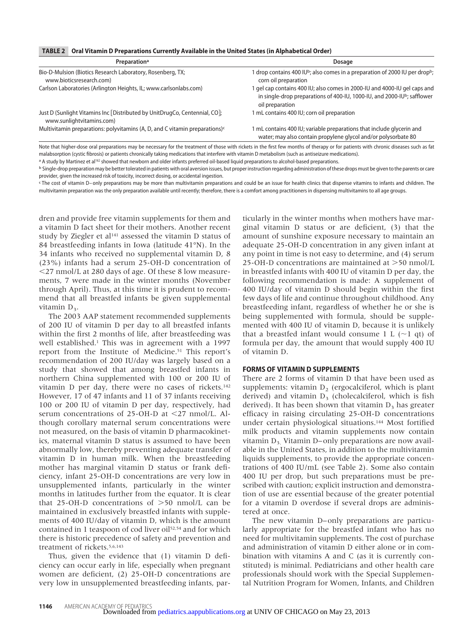#### **TABLE 2 Oral Vitamin D Preparations Currently Available in the United States (in Alphabetical Order)**

| Preparation <sup>a</sup>                                                                                | Dosage                                                                                                                                                                             |
|---------------------------------------------------------------------------------------------------------|------------------------------------------------------------------------------------------------------------------------------------------------------------------------------------|
| Bio-D-Mulsion (Biotics Research Laboratory, Rosenberg, TX;<br>www.bioticsresearch.com)                  | $\rm d$ drop contains 400 IU <sup>b</sup> ; also comes in a preparation of 2000 IU per drop <sup>b</sup> ;<br>corn oil preparation                                                 |
| Carlson Laboratories (Arlington Heights, IL; www.carlsonlabs.com)                                       | gel cap contains 400 IU; also comes in 2000-IU and 4000-IU gel caps and<br>in single-drop preparations of 400-IU, 1000-IU, and 2000-IU <sup>b</sup> ; safflower<br>oil preparation |
| Just D (Sunlight Vitamins Inc [Distributed by UnitDrugCo, Centennial, CO];<br>www.sunlightvitamins.com) | mL contains 400 IU; corn oil preparation                                                                                                                                           |
| Multivitamin preparations: polyvitamins (A, D, and C vitamin preparations) $\epsilon$                   | mL contains 400 IU; variable preparations that include glycerin and<br>water; may also contain propylene glycol and/or polysorbate 80                                              |

Note that higher-dose oral preparations may be necessary for the treatment of those with rickets in the first few months of therapy or for patients with chronic diseases such as fat malabsorption (cystic fibrosis) or patients chronically taking medications that interfere with vitamin D metabolism (such as antiseizure medications).

a A study by Martinez et al<sup>162</sup> showed that newborn and older infants preferred oil-based liquid preparations to alcohol-based preparations.

b Single-drop preparation may be better tolerated in patients with oral aversion issues, but proper instruction regarding administration of these drops must be given to the parents or care provider, given the increased risk of toxicity, incorrect dosing, or accidental ingestion.

c The cost of vitamin D–only preparations may be more than multivitamin preparations and could be an issue for health clinics that dispense vitamins to infants and children. The multivitamin preparation was the only preparation available until recently; therefore, there is a comfort among practitioners in dispensing multivitamins to all age groups.

dren and provide free vitamin supplements for them and a vitamin D fact sheet for their mothers. Another recent study by Ziegler et al<sup>141</sup> assessed the vitamin D status of 84 breastfeeding infants in Iowa (latitude 41°N). In the 34 infants who received no supplemental vitamin D, 8 (23%) infants had a serum 25-OH-D concentration of 27 nmol/L at 280 days of age. Of these 8 low measurements, 7 were made in the winter months (November through April). Thus, at this time it is prudent to recommend that all breastfed infants be given supplemental vitamin  $D_3$ .

The 2003 AAP statement recommended supplements of 200 IU of vitamin D per day to all breastfed infants within the first 2 months of life, after breastfeeding was well established.<sup>1</sup> This was in agreement with a 1997 report from the Institute of Medicine.51 This report's recommendation of 200 IU/day was largely based on a study that showed that among breastfed infants in northern China supplemented with 100 or 200 IU of vitamin D per day, there were no cases of rickets.<sup>142</sup> However, 17 of 47 infants and 11 of 37 infants receiving 100 or 200 IU of vitamin D per day, respectively, had serum concentrations of 25-OH-D at <27 nmol/L. Although corollary maternal serum concentrations were not measured, on the basis of vitamin D pharmacokinetics, maternal vitamin D status is assumed to have been abnormally low, thereby preventing adequate transfer of vitamin D in human milk. When the breastfeeding mother has marginal vitamin D status or frank deficiency, infant 25-OH-D concentrations are very low in unsupplemented infants, particularly in the winter months in latitudes further from the equator. It is clear that  $25$ -OH-D concentrations of  $>50$  nmol/L can be maintained in exclusively breastfed infants with supplements of 400 IU/day of vitamin D, which is the amount contained in 1 teaspoon of cod liver oil<sup>52,54</sup> and for which there is historic precedence of safety and prevention and treatment of rickets.<sup>5,6,143</sup>

Thus, given the evidence that (1) vitamin D deficiency can occur early in life, especially when pregnant women are deficient, (2) 25-OH-D concentrations are very low in unsupplemented breastfeeding infants, particularly in the winter months when mothers have marginal vitamin D status or are deficient, (3) that the amount of sunshine exposure necessary to maintain an adequate 25-OH-D concentration in any given infant at any point in time is not easy to determine, and (4) serum 25-OH-D concentrations are maintained at >50 nmol/L in breastfed infants with 400 IU of vitamin D per day, the following recommendation is made: A supplement of 400 IU/day of vitamin D should begin within the first few days of life and continue throughout childhood. Any breastfeeding infant, regardless of whether he or she is being supplemented with formula, should be supplemented with 400 IU of vitamin D, because it is unlikely that a breastfed infant would consume 1 L  $(\sim)$  qt) of formula per day, the amount that would supply 400 IU of vitamin D.

#### **FORMS OF VITAMIN D SUPPLEMENTS**

There are 2 forms of vitamin D that have been used as supplements: vitamin  $D_2$  (ergocalciferol, which is plant derived) and vitamin  $D_3$  (cholecalciferol, which is fish derived). It has been shown that vitamin  $D_3$  has greater efficacy in raising circulating 25-OH-D concentrations under certain physiological situations.144 Most fortified milk products and vitamin supplements now contain vitamin  $D_3$ . Vitamin D– only preparations are now available in the United States, in addition to the multivitamin liquids supplements, to provide the appropriate concentrations of 400 IU/mL (see Table 2). Some also contain 400 IU per drop, but such preparations must be prescribed with caution; explicit instruction and demonstration of use are essential because of the greater potential for a vitamin D overdose if several drops are administered at once.

The new vitamin D– only preparations are particularly appropriate for the breastfed infant who has no need for multivitamin supplements. The cost of purchase and administration of vitamin D either alone or in combination with vitamins A and C (as it is currently constituted) is minimal. Pediatricians and other health care professionals should work with the Special Supplemental Nutrition Program for Women, Infants, and Children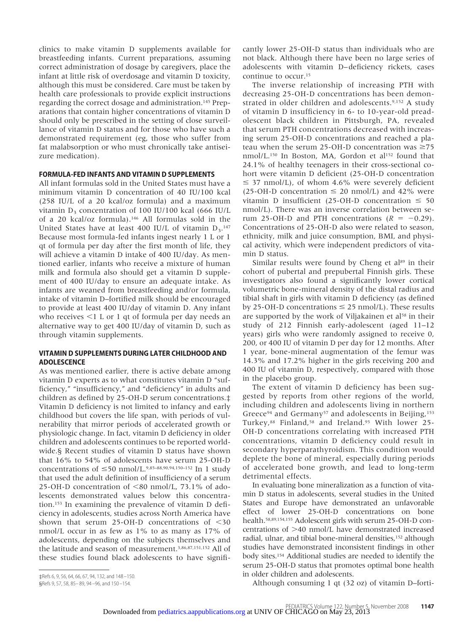clinics to make vitamin D supplements available for breastfeeding infants. Current preparations, assuming correct administration of dosage by caregivers, place the infant at little risk of overdosage and vitamin D toxicity, although this must be considered. Care must be taken by health care professionals to provide explicit instructions regarding the correct dosage and administration.145 Preparations that contain higher concentrations of vitamin D should only be prescribed in the setting of close surveillance of vitamin D status and for those who have such a demonstrated requirement (eg, those who suffer from fat malabsorption or who must chronically take antiseizure medication).

#### **FORMULA-FED INFANTS AND VITAMIN D SUPPLEMENTS**

All infant formulas sold in the United States must have a minimum vitamin D concentration of 40 IU/100 kcal (258 IU/L of a 20 kcal/oz formula) and a maximum vitamin  $D_3$  concentration of 100 IU/100 kcal (666 IU/L of a 20 kcal/oz formula).146 All formulas sold in the United States have at least 400 IU/L of vitamin  $D_3$ .<sup>147</sup> Because most formula-fed infants ingest nearly 1 L or 1 qt of formula per day after the first month of life, they will achieve a vitamin D intake of 400 IU/day. As mentioned earlier, infants who receive a mixture of human milk and formula also should get a vitamin D supplement of 400 IU/day to ensure an adequate intake. As infants are weaned from breastfeeding and/or formula, intake of vitamin D–fortified milk should be encouraged to provide at least 400 IU/day of vitamin D. Any infant who receives  $\leq 1$  L or 1 qt of formula per day needs an alternative way to get 400 IU/day of vitamin D, such as through vitamin supplements.

# **VITAMIN D SUPPLEMENTS DURING LATER CHILDHOOD AND ADOLESCENCE**

As was mentioned earlier, there is active debate among vitamin D experts as to what constitutes vitamin D "sufficiency," "insufficiency," and "deficiency" in adults and children as defined by 25-OH-D serum concentrations.‡ Vitamin D deficiency is not limited to infancy and early childhood but covers the life span, with periods of vulnerability that mirror periods of accelerated growth or physiologic change. In fact, vitamin D deficiency in older children and adolescents continues to be reported worldwide.§ Recent studies of vitamin D status have shown that 16% to 54% of adolescents have serum 25-OH-D concentrations of  $\leq 50$  nmol/L.<sup>9,85-88,90,94,150-152</sup> In 1 study that used the adult definition of insufficiency of a serum 25-OH-D concentration of  $\leq 80$  nmol/L, 73.1% of adolescents demonstrated values below this concentration.153 In examining the prevalence of vitamin D deficiency in adolescents, studies across North America have shown that serum 25-OH-D concentrations of  $<$ 30 nmol/L occur in as few as 1% to as many as 17% of adolescents, depending on the subjects themselves and the latitude and season of measurement.3,86,87,151,152 All of these studies found black adolescents to have significantly lower 25-OH-D status than individuals who are not black. Although there have been no large series of adolescents with vitamin D– deficiency rickets, cases continue to occur.15

The inverse relationship of increasing PTH with decreasing 25-OH-D concentrations has been demonstrated in older children and adolescents.<sup>9,152</sup> A study of vitamin D insufficiency in 6- to 10-year-old preadolescent black children in Pittsburgh, PA, revealed that serum PTH concentrations decreased with increasing serum 25-OH-D concentrations and reached a plateau when the serum 25-OH-D concentration was  $\geq$ 75 nmol/L.150 In Boston, MA, Gordon et al152 found that 24.1% of healthy teenagers in their cross-sectional cohort were vitamin D deficient (25-OH-D concentration  $\leq$  37 nmol/L), of whom 4.6% were severely deficient  $(25-OH-D$  concentration  $\leq 20$  nmol/L) and 42% were vitamin D insufficient (25-OH-D concentration  $\leq 50$ nmol/L). There was an inverse correlation between serum 25-OH-D and PTH concentrations  $(R = -0.29)$ . Concentrations of 25-OH-D also were related to season, ethnicity, milk and juice consumption, BMI, and physical activity, which were independent predictors of vitamin D status.

Similar results were found by Cheng et  $al<sup>89</sup>$  in their cohort of pubertal and prepubertal Finnish girls. These investigators also found a significantly lower cortical volumetric bone-mineral density of the distal radius and tibial shaft in girls with vitamin D deficiency (as defined by 25-OH-D concentrations  $\leq$  25 nmol/L). These results are supported by the work of Viljakainen et al<sup>58</sup> in their study of 212 Finnish early-adolescent (aged 11–12 years) girls who were randomly assigned to receive 0, 200, or 400 IU of vitamin D per day for 12 months. After 1 year, bone-mineral augmentation of the femur was 14.3% and 17.2% higher in the girls receiving 200 and 400 IU of vitamin D, respectively, compared with those in the placebo group.

The extent of vitamin D deficiency has been suggested by reports from other regions of the world, including children and adolescents living in northern Greece<sup>94</sup> and Germany<sup>57</sup> and adolescents in Beijing,<sup>153</sup> Turkey,<sup>88</sup> Finland,<sup>58</sup> and Ireland.<sup>95</sup> With lower 25-OH-D concentrations correlating with increased PTH concentrations, vitamin D deficiency could result in secondary hyperparathyroidism. This condition would deplete the bone of mineral, especially during periods of accelerated bone growth, and lead to long-term detrimental effects.

In evaluating bone mineralization as a function of vitamin D status in adolescents, several studies in the United States and Europe have demonstrated an unfavorable effect of lower 25-OH-D concentrations on bone health.58,89,154,155 Adolescent girls with serum 25-OH-D concentrations of  $>40$  nmol/L have demonstrated increased radial, ulnar, and tibial bone-mineral densities,152 although studies have demonstrated inconsistent findings in other body sites.154 Additional studies are needed to identify the serum 25-OH-D status that promotes optimal bone health in older children and adolescents.

Although consuming 1 qt (32 oz) of vitamin D–forti-

<sup>‡</sup>Refs 6, 9, 56, 64, 66, 67, 94, 132, and 148 –150. §Refs 9, 57, 58, 85– 89, 94 –96, and 150 –154.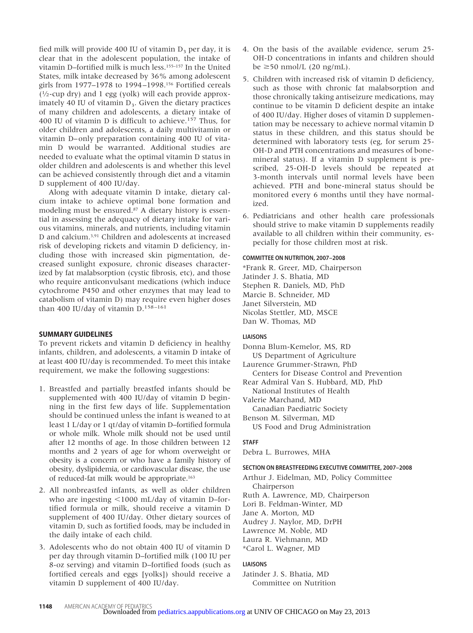fied milk will provide 400 IU of vitamin  $D_3$  per day, it is clear that in the adolescent population, the intake of vitamin D–fortified milk is much less.155–157 In the United States, milk intake decreased by 36% among adolescent girls from 1977–1978 to 1994 –1998.156 Fortified cereals  $(1/2$ -cup dry) and 1 egg (yolk) will each provide approximately 40 IU of vitamin  $D<sub>3</sub>$ . Given the dietary practices of many children and adolescents, a dietary intake of 400 IU of vitamin D is difficult to achieve.157 Thus, for older children and adolescents, a daily multivitamin or vitamin D– only preparation containing 400 IU of vitamin D would be warranted. Additional studies are needed to evaluate what the optimal vitamin D status in older children and adolescents is and whether this level can be achieved consistently through diet and a vitamin D supplement of 400 IU/day.

Along with adequate vitamin D intake, dietary calcium intake to achieve optimal bone formation and modeling must be ensured.87 A dietary history is essential in assessing the adequacy of dietary intake for various vitamins, minerals, and nutrients, including vitamin D and calcium.3,91 Children and adolescents at increased risk of developing rickets and vitamin D deficiency, including those with increased skin pigmentation, decreased sunlight exposure, chronic diseases characterized by fat malabsorption (cystic fibrosis, etc), and those who require anticonvulsant medications (which induce cytochrome P450 and other enzymes that may lead to catabolism of vitamin D) may require even higher doses than 400 IU/day of vitamin  $D.^{158-161}$ 

# **SUMMARY GUIDELINES**

To prevent rickets and vitamin D deficiency in healthy infants, children, and adolescents, a vitamin D intake of at least 400 IU/day is recommended. To meet this intake requirement, we make the following suggestions:

- 1. Breastfed and partially breastfed infants should be supplemented with 400 IU/day of vitamin D beginning in the first few days of life. Supplementation should be continued unless the infant is weaned to at least 1 L/day or 1 qt/day of vitamin D–fortified formula or whole milk. Whole milk should not be used until after 12 months of age. In those children between 12 months and 2 years of age for whom overweight or obesity is a concern or who have a family history of obesity, dyslipidemia, or cardiovascular disease, the use of reduced-fat milk would be appropriate.163
- 2. All nonbreastfed infants, as well as older children who are ingesting  $\leq 1000$  mL/day of vitamin D–fortified formula or milk, should receive a vitamin D supplement of 400 IU/day. Other dietary sources of vitamin D, such as fortified foods, may be included in the daily intake of each child.
- 3. Adolescents who do not obtain 400 IU of vitamin D per day through vitamin D–fortified milk (100 IU per 8-oz serving) and vitamin D–fortified foods (such as fortified cereals and eggs [yolks]) should receive a vitamin D supplement of 400 IU/day.
- 4. On the basis of the available evidence, serum 25- OH-D concentrations in infants and children should be  $\geq$ 50 nmol/L (20 ng/mL).
- 5. Children with increased risk of vitamin D deficiency, such as those with chronic fat malabsorption and those chronically taking antiseizure medications, may continue to be vitamin D deficient despite an intake of 400 IU/day. Higher doses of vitamin D supplementation may be necessary to achieve normal vitamin D status in these children, and this status should be determined with laboratory tests (eg, for serum 25- OH-D and PTH concentrations and measures of bonemineral status). If a vitamin D supplement is prescribed, 25-OH-D levels should be repeated at 3-month intervals until normal levels have been achieved. PTH and bone-mineral status should be monitored every 6 months until they have normalized.
- 6. Pediatricians and other health care professionals should strive to make vitamin D supplements readily available to all children within their community, especially for those children most at risk.

# **COMMITTEE ON NUTRITION, 2007–2008**

\*Frank R. Greer, MD, Chairperson Jatinder J. S. Bhatia, MD Stephen R. Daniels, MD, PhD Marcie B. Schneider, MD Janet Silverstein, MD Nicolas Stettler, MD, MSCE Dan W. Thomas, MD

# **LIAISONS**

- Donna Blum-Kemelor, MS, RD US Department of Agriculture
- Laurence Grummer-Strawn, PhD
- Centers for Disease Control and Prevention
- Rear Admiral Van S. Hubbard, MD, PhD
- National Institutes of Health
- Valerie Marchand, MD
- Canadian Paediatric Society Benson M. Silverman, MD
- US Food and Drug Administration

# **STAFF**

Debra L. Burrowes, MHA

# **SECTION ON BREASTFEEDING EXECUTIVE COMMITTEE, 2007–2008**

- Arthur J. Eidelman, MD, Policy Committee Chairperson
- Ruth A. Lawrence, MD, Chairperson
- Lori B. Feldman-Winter, MD
- Jane A. Morton, MD
- Audrey J. Naylor, MD, DrPH
- Lawrence M. Noble, MD
- Laura R. Viehmann, MD
- \*Carol L. Wagner, MD

# **LIAISONS**

Jatinder J. S. Bhatia, MD Committee on Nutrition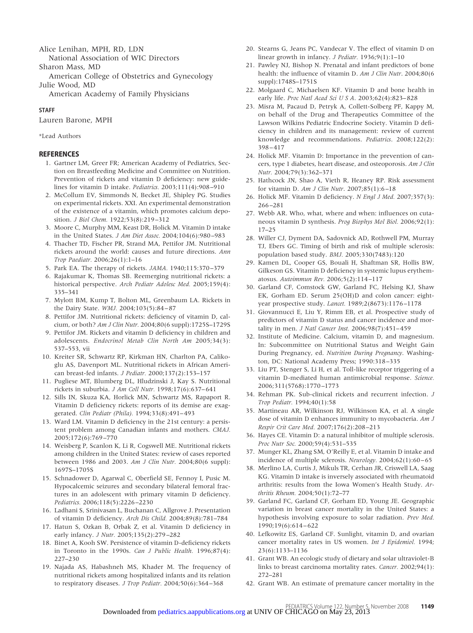Alice Lenihan, MPH, RD, LDN

National Association of WIC Directors

Sharon Mass, MD

American College of Obstetrics and Gynecology Julie Wood, MD

American Academy of Family Physicians

#### **STAFF**

Lauren Barone, MPH

\*Lead Authors

# **REFERENCES**

- 1. Gartner LM, Greer FR; American Academy of Pediatrics, Section on Breastfeeding Medicine and Committee on Nutrition. Prevention of rickets and vitamin D deficiency: new guidelines for vitamin D intake. *Pediatrics.* 2003;111(4):908 –910
- 2. McCollum EV, Simmonds N, Becket JE, Shipley PG. Studies on experimental rickets. XXI. An experimental demonstration of the existence of a vitamin, which promotes calcium deposition. *J Biol Chem.* 1922;53(8):219 –312
- 3. Moore C, Murphy MM, Keast DR, Holick M. Vitamin D intake in the United States. *J Am Diet Assoc.* 2004;104(6):980 –983
- 4. Thacher TD, Fischer PR, Strand MA, Pettifor JM. Nutritional rickets around the world: causes and future directions. *Ann Trop Paediatr.* 2006;26(1):1–16
- 5. Park EA. The therapy of rickets. *JAMA.* 1940;115:370 –379
- 6. Rajakumar K, Thomas SB. Reemerging nutritional rickets: a historical perspective. *Arch Pediatr Adolesc Med.* 2005;159(4): 335–341
- 7. Mylott BM, Kump T, Bolton ML, Greenbaum LA. Rickets in the Dairy State. *WMJ.* 2004;103(5):84 – 87
- 8. Pettifor JM. Nutritional rickets: deficiency of vitamin D, calcium, or both? *Am J Clin Nutr.* 2004;80(6 suppl):1725S–1729S
- 9. Pettifor JM. Rickets and vitamin D deficiency in children and adolescents. *Endocrinol Metab Clin North Am* 2005;34(3): 537–553, vii
- 10. Kreiter SR, Schwartz RP, Kirkman HN, Charlton PA, Calikoglu AS, Davenport ML. Nutritional rickets in African American breast-fed infants. *J Pediatr.* 2000;137(2):153–157
- 11. Pugliese MT, Blumberg DL, Hludzinski J, Kay S. Nutritional rickets in suburbia. *J Am Coll Nutr.* 1998;17(6):637– 641
- 12. Sills IN, Skuza KA, Horlick MN, Schwartz MS, Rapaport R. Vitamin D deficiency rickets: reports of its demise are exaggerated. *Clin Pediatr (Phila).* 1994;33(8):491– 493
- 13. Ward LM. Vitamin D deficiency in the 21st century: a persistent problem among Canadian infants and mothers. *CMAJ.* 2005;172(6):769 –770
- 14. Weisberg P, Scanlon K, Li R, Cogswell ME. Nutritional rickets among children in the United States: review of cases reported between 1986 and 2003. *Am J Clin Nutr.* 2004;80(6 suppl): 1697S–1705S
- 15. Schnadower D, Agarwal C, Oberfield SE, Fennoy I, Pusic M. Hypocalcemic seizures and secondary bilateral femoral fractures in an adolescent with primary vitamin D deficiency. *Pediatrics.* 2006;118(5):2226 –2230
- 16. Ladhani S, Srinivasan L, Buchanan C, Allgrove J. Presentation of vitamin D deficiency. *Arch Dis Child.* 2004;89(8):781–784
- 17. Hatun S, Ozkan B, Orbak Z, et al. Vitamin D deficiency in early infancy. *J Nutr.* 2005;135(2):279 –282
- 18. Binet A, Kooh SW. Persistence of vitamin D-deficiency rickets in Toronto in the 1990s. *Can J Public Health.* 1996;87(4): 227–230
- 19. Najada AS, Habashneh MS, Khader M. The frequency of nutritional rickets among hospitalized infants and its relation to respiratory diseases. *J Trop Pediatr.* 2004;50(6):364 –368
- 20. Stearns G, Jeans PC, Vandecar V. The effect of vitamin D on linear growth in infancy. *J Pediatr.* 1936;9(1):1–10
- 21. Pawley NJ, Bishop N. Prenatal and infant predictors of bone health: the influence of vitamin D. *Am J Clin Nutr*. 2004;80(6 suppl):1748S–1751S
- 22. Molgaard C, Michaelsen KF. Vitamin D and bone health in early life. *Proc Natl Acad Sci U S A*. 2003;62(4):823– 828
- 23. Misra M, Pacaud D, Petryk A, Collett-Solberg PF, Kappy M, on behalf of the Drug and Therapeutics Committee of the Lawson Wilkins Pediatric Endocrine Society. Vitamin D deficiency in children and its management: review of current knowledge and recommendations. *Pediatrics*. 2008;122(2): 398 – 417
- 24. Holick MF. Vitamin D: Importance in the prevention of cancers, type 1 diabetes, heart disease, and osteoporosis. *Am J Clin Nutr.* 2004;79(3):362–371
- 25. Hathcock JN, Shao A, Vieth R, Heaney RP. Risk assessment for vitamin D. *Am J Clin Nutr*. 2007;85(1):6 –18
- 26. Holick MF. Vitamin D deficiency. *N Engl J Med.* 2007;357(3): 266 –281
- 27. Webb AR. Who, what, where and when: influences on cutaneous vitamin D synthesis. *Prog Biophys Mol Biol.* 2006;92(1): 17–25
- 28. Willer CJ, Dyment DA, Sadovnick AD, Rothwell PM, Murray TJ, Ebers GC. Timing of birth and risk of multiple sclerosis: population based study. *BMJ.* 2005;330(7483):120
- 29. Kamen DL, Cooper GS, Bouali H, Shaftman SR, Hollis BW, Gilkeson GS. Vitamin D deficiency in systemic lupus erythematosus. *Autoimmun Rev.* 2006;5(2):114 –117
- 30. Garland CF, Comstock GW, Garland FC, Helsing KJ, Shaw EK, Gorham ED. Serum 25(OH)D and colon cancer: eightyear prospective study. *Lancet.* 1989;2(8673):1176 –1178
- 31. Giovannucci E, Liu Y, Rimm EB, et al. Prospective study of predictors of vitamin D status and cancer incidence and mortality in men. *J Natl Cancer Inst.* 2006;98(7):451– 459
- 32. Institute of Medicine. Calcium, vitamin D, and magnesium. In: Subcommittee on Nutritional Status and Weight Gain During Pregnancy, ed. *Nutrition During Pregnancy*. Washington, DC: National Academy Press; 1990:318 –335
- 33. Liu PT, Stenger S, Li H, et al. Toll-like receptor triggering of a vitamin D-mediated human antimicrobial response. *Science.* 2006;311(5768):1770 –1773
- 34. Rehman PK. Sub-clinical rickets and recurrent infection. *J Trop Pediatr.* 1994;40(1):58
- 35. Martineau AR, Wilkinson RJ, Wilkinson KA, et al. A single dose of vitamin D enhances immunity to mycobacteria. *Am J Respir Crit Care Med.* 2007;176(2):208 –213
- 36. Hayes CE. Vitamin D: a natural inhibitor of multiple sclerosis. *Proc Nutr Soc.* 2000;59(4):531–535
- 37. Munger KL, Zhang SM, O'Reilly E, et al. Vitamin D intake and incidence of multiple sclerosis. *Neurology.* 2004;62(1):60 – 65
- 38. Merlino LA, Curtis J, Mikuls TR, Cerhan JR, Criswell LA, Saag KG. Vitamin D intake is inversely associated with rheumatoid arthritis: results from the Iowa Women's Health Study. *Arthritis Rheum.* 2004;50(1):72–77
- 39. Garland FC, Garland CF, Gorham ED, Young JE. Geographic variation in breast cancer mortality in the United States: a hypothesis involving exposure to solar radiation. *Prev Med.* 1990;19(6):614 – 622
- 40. Lefkowitz ES, Garland CF. Sunlight, vitamin D, and ovarian cancer mortality rates in US women. *Int J Epidemiol.* 1994; 23(6):1133–1136
- 41. Grant WB. An ecologic study of dietary and solar ultraviolet-B links to breast carcinoma mortality rates. *Cancer.* 2002;94(1): 272–281
- 42. Grant WB. An estimate of premature cancer mortality in the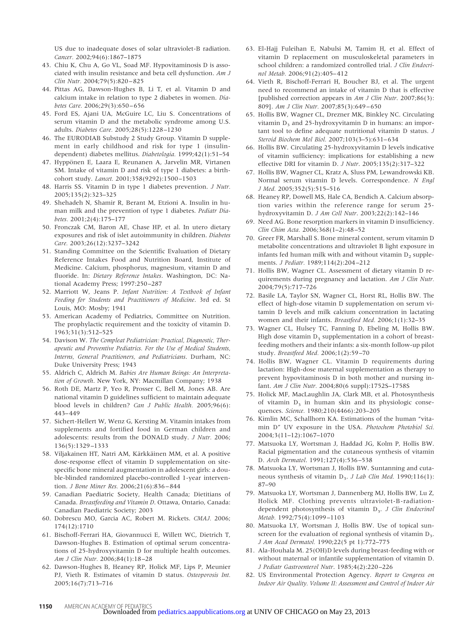US due to inadequate doses of solar ultraviolet-B radiation. *Cancer.* 2002;94(6):1867–1875

- 43. Chiu K, Chu A, Go VL, Soad MF. Hypovitaminosis D is associated with insulin resistance and beta cell dysfunction. *Am J Clin Nutr.* 2004;79(5):820 – 825
- 44. Pittas AG, Dawson-Hughes B, Li T, et al. Vitamin D and calcium intake in relation to type 2 diabetes in women. *Diabetes Care.* 2006;29(3):650 – 656
- 45. Ford ES, Ajani UA, McGuire LC, Liu S. Concentrations of serum vitamin D and the metabolic syndrome among U.S. adults. *Diabetes Care.* 2005;28(5):1228 –1230
- 46. The EURODIAB Substudy 2 Study Group. Vitamin D supplement in early childhood and risk for type 1 (insulindependent) diabetes mellitus. *Diabetologia.* 1999;42(1):51–54
- 47. Hyppönen E, Laara E, Reunanen A, Jarvelin MR, Virtanen SM. Intake of vitamin D and risk of type 1 diabetes: a birthcohort study. *Lancet.* 2001;358(9292):1500 –1503
- 48. Harris SS. Vitamin D in type 1 diabetes prevention. *J Nutr.* 2005;135(2):323–325
- 49. Shehadeh N, Shamir R, Berant M, Etzioni A. Insulin in human milk and the prevention of type 1 diabetes. *Pediatr Diabetes.* 2001;2(4):175–177
- 50. Fronczak CM, Baron AE, Chase HP, et al. In utero dietary exposures and risk of islet autoimmunity in children. *Diabetes Care.* 2003;26(12):3237–3242
- 51. Standing Committee on the Scientific Evaluation of Dietary Reference Intakes Food and Nutrition Board, Institute of Medicine. Calcium, phosphorus, magnesium, vitamin D and fluoride. In: *Dietary Reference Intakes*. Washington, DC: National Academy Press; 1997:250 –287
- 52. Marriott W, Jeans P. *Infant Nutrition: A Textbook of Infant Feeding for Students and Practitioners of Medicine*. 3rd ed. St Louis, MO: Mosby; 1941
- 53. American Academy of Pediatrics, Committee on Nutrition. The prophylactic requirement and the toxicity of vitamin D. 1963;31(3):512–525
- 54. Davison W. *The Compleat Pediatrician: Practical, Diagnostic, Therapeutic and Preventive Pediatrics. For the Use of Medical Students, Interns, General Practitioners, and Pediatricians*. Durham, NC: Duke University Press; 1943
- 55. Aldrich C, Aldrich M. *Babies Are Human Beings: An Interpretation of Growth*. New York, NY: Macmillan Company; 1938
- 56. Roth DE, Martz P, Yeo R, Prosser C, Bell M, Jones AB. Are national vitamin D guidelines sufficient to maintain adequate blood levels in children? *Can J Public Health.* 2005;96(6): 443– 449
- 57. Sichert-Hellert W, Wenz G, Kersting M. Vitamin intakes from supplements and fortified food in German children and adolescents: results from the DONALD study. *J Nutr.* 2006; 136(5):1329 –1333
- 58. Viljakainen HT, Natri AM, Kärkkäinen MM, et al. A positive dose-response effect of vitamin D supplementation on sitespecific bone mineral augmentation in adolescent girls: a double-blinded randomized placebo-controlled 1-year intervention. *J Bone Miner Res.* 2006;21(6):836 – 844
- 59. Canadian Paediatric Society, Health Canada; Dietitians of Canada. *Breastfeeding and Vitamin D*. Ottawa, Ontario, Canada: Canadian Paediatric Society; 2003
- 60. Dobrescu MO, Garcia AC, Robert M. Rickets. *CMAJ.* 2006; 174(12):1710
- 61. Bischoff-Ferrari HA, Giovannucci E, Willett WC, Dietrich T, Dawson-Hughes B. Estimation of optimal serum concentrations of 25-hydroxyvitamin D for multiple health outcomes. *Am J Clin Nutr.* 2006;84(1):18 –28
- 62. Dawson-Hughes B, Heaney RP, Holick MF, Lips P, Meunier PJ, Vieth R. Estimates of vitamin D status. *Osteoporosis Int.* 2005;16(7):713–716
- 63. El-Hajj Fuleihan E, Nabulsi M, Tamim H, et al. Effect of vitamin D replacement on musculoskeletal parameters in school children: a randomized controlled trial. *J Clin Endocrinol Metab.* 2006;91(2):405– 412
- 64. Vieth R, Bischoff-Ferrari H, Boucher BJ, et al. The urgent need to recommend an intake of vitamin D that is effective [published correction appears in *Am J Clin Nutr*. 2007;86(3): 809]. *Am J Clin Nutr.* 2007;85(3):649 – 650
- 65. Hollis BW, Wagner CL, Drezner MK, Binkley NC. Circulating vitamin  $D_3$  and 25-hydroxyvitamin D in humans: an important tool to define adequate nutritional vitamin D status. *J Steroid Biochem Mol Biol.* 2007;103(3–5):631– 634
- 66. Hollis BW. Circulating 25-hydroxyvitamin D levels indicative of vitamin sufficiency: implications for establishing a new effective DRI for vitamin D. *J Nutr*. 2005;135(2):317–322
- 67. Hollis BW, Wagner CL, Kratz A, Sluss PM, Lewandrowski KB. Normal serum vitamin D levels. Correspondence. *N Engl J Med.* 2005;352(5):515–516
- 68. Heaney RP, Dowell MS, Hale CA, Bendich A. Calcium absorption varies within the reference range for serum 25 hydroxyvitamin D. *J Am Coll Nutr*. 2003;22(2):142–146
- 69. Need AG. Bone resorption markers in vitamin D insufficiency. *Clin Chim Acta.* 2006;368(1–2):48 –52
- 70. Greer FR, Marshall S. Bone mineral content, serum vitamin D metabolite concentrations and ultraviolet B light exposure in infants fed human milk with and without vitamin  $D_2$  supplements. *J Pediatr.* 1989;114(2):204 –212
- 71. Hollis BW, Wagner CL. Assessment of dietary vitamin D requirements during pregnancy and lactation. *Am J Clin Nutr.* 2004;79(5):717–726
- 72. Basile LA, Taylor SN, Wagner CL, Horst RL, Hollis BW. The effect of high-dose vitamin D supplementation on serum vitamin D levels and milk calcium concentration in lactating women and their infants. *Breastfeed Med.* 2006;1(1):32–35
- 73. Wagner CL, Hulsey TC, Fanning D, Ebeling M, Hollis BW. High dose vitamin  $D_3$  supplementation in a cohort of breastfeeding mothers and their infants: a six-month follow-up pilot study. *Breastfeed Med.* 2006;1(2):59 –70
- 74. Hollis BW, Wagner CL. Vitamin D requirements during lactation: High-dose maternal supplementation as therapy to prevent hypovitaminosis D in both mother and nursing infant. *Am J Clin Nutr.* 2004;80(6 suppl):1752S–1758S
- 75. Holick MF, MacLaughlin JA, Clark MB, et al. Photosynthesis of vitamin  $D_3$  in human skin and its physiologic consequences. *Science.* 1980;210(4466):203–205
- 76. Kimlin MC, Schallhorn KA. Estimations of the human "vitamin D" UV exposure in the USA. *Photochem Photobiol Sci.* 2004;3(11–12):1067–1070
- 77. Matsuoka LY, Wortsman J, Haddad JG, Kolm P, Hollis BW. Racial pigmentation and the cutaneous synthesis of vitamin D. *Arch Dermatol*. 1991;127(4):536 –538
- 78. Matsuoka LY, Wortsman J, Hollis BW. Suntanning and cutaneous synthesis of vitamin D<sub>3</sub>. *J Lab Clin Med.* 1990;116(1): 87–90
- 79. Matsuoka LY, Wortsman J, Dannenberg MJ, Hollis BW, Lu Z, Holick MF. Clothing prevents ultraviolet-B-radiationdependent photosynthesis of vitamin D<sub>3</sub>. *J Clin Endocrinol Metab.* 1992;75(4):1099 –1103
- 80. Matsuoka LY, Wortsman J, Hollis BW. Use of topical sunscreen for the evaluation of regional synthesis of vitamin  $D<sub>3</sub>$ . *J Am Acad Dermatol.* 1990;22(5 pt 1):772–775
- 81. Ala-Houhala M. 25(OH)D levels during breast-feeding with or without maternal or infantile supplementation of vitamin D. *J Pediatr Gastroenterol Nutr*. 1985;4(2):220 –226
- 82. US Environmental Protection Agency. *Report to Congress on Indoor Air Quality. Volume II: Assessment and Control of Indoor Air*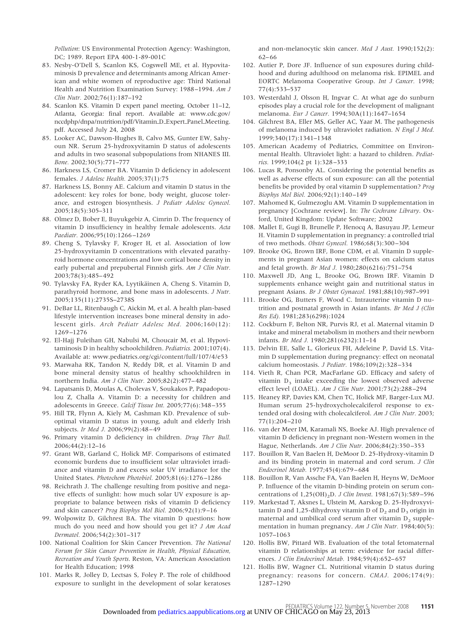*Pollution*: US Environmental Protection Agency: Washington, DC; 1989. Report EPA 400-1-89-001C

- 83. Nesby-O'Dell S, Scanlon KS, Cogswell ME, et al. Hypovitaminosis D prevalence and determinants among African American and white women of reproductive age: Third National Health and Nutrition Examination Survey: 1988 –1994. *Am J Clin Nutr.* 2002;76(1):187–192
- 84. Scanlon KS. Vitamin D expert panel meeting, October 11–12, Atlanta, Georgia: final report. Available at: www.cdc.gov/ nccdphp/dnpa/nutrition/pdf/Vitamin\_D\_Expert\_Panel\_Meeting. pdf. Accessed July 24, 2008
- 85. Looker AC, Dawson-Hughes B, Calvo MS, Gunter EW, Sahyoun NR. Serum 25-hydroxyvitamin D status of adolescents and adults in two seasonal subpopulations from NHANES III. *Bone.* 2002;30(5):771–777
- 86. Harkness LS, Cromer BA. Vitamin D deficiency in adolescent females. *J Adolesc Health.* 2005;37(1):75
- 87. Harkness LS, Bonny AE. Calcium and vitamin D status in the adolescent: key roles for bone, body weight, glucose tolerance, and estrogen biosynthesis. *J Pediatr Adolesc Gynecol.* 2005;18(5):305–311
- 88. Olmez D, Bober E, Buyukgebiz A, Cimrin D. The frequency of vitamin D insufficiency in healthy female adolescents. *Acta Paediatr.* 2006;95(10):1266 –1269
- 89. Cheng S, Tylavsky F, Kroger H, et al. Association of low 25-hydroxyvitamin D concentrations with elevated parathyroid hormone concentrations and low cortical bone density in early pubertal and prepubertal Finnish girls. *Am J Clin Nutr.* 2003;78(3):485– 492
- 90. Tylavsky FA, Ryder KA, Lyytikäinen A, Cheng S. Vitamin D, parathyroid hormone, and bone mass in adolescents. *J Nutr.* 2005;135(11):2735S–2738S
- 91. DeBar LL, Ritenbaugh C, Aickin M, et al. A health plan-based lifestyle intervention increases bone mineral density in adolescent girls. *Arch Pediatr Adolesc Med.* 2006;160(12): 1269 –1276
- 92. El-Hajj Fuleihan GH, Nabulsi M, Choucair M, et al. Hypovitaminosis D in healthy schoolchildren. *Pediatrics.* 2001;107(4). Available at: www.pediatrics.org/cgi/content/full/107/4/e53
- 93. Marwaha RK, Tandon N, Reddy DR, et al. Vitamin D and bone mineral density status of healthy schoolchildren in northern India. *Am J Clin Nutr.* 2005;82(2):477– 482
- 94. Lapatsanis D, Moulas A, Cholevas V, Soukakos P, Papadopoulou Z, Challa A. Vitamin D: a necessity for children and adolescents in Greece. *Calcif Tissue Int.* 2005;77(6):348 –355
- 95. Hill TR, Flynn A, Kiely M, Cashman KD. Prevalence of suboptimal vitamin D status in young, adult and elderly Irish subjects. *Ir Med J.* 2006;99(2):48 – 49
- 96. Primary vitamin D deficiency in children. *Drug Ther Bull.* 2006;44(2):12–16
- 97. Grant WB, Garland C, Holick MF. Comparisons of estimated economic burdens due to insufficient solar ultraviolet irradiance and vitamin D and excess solar UV irradiance for the United States. *Photochem Photobiol.* 2005;81(6):1276 –1286
- 98. Reichrath J. The challenge resulting from positive and negative effects of sunlight: how much solar UV exposure is appropriate to balance between risks of vitamin D deficiency and skin cancer? *Prog Biophys Mol Biol.* 2006;92(1):9 –16
- 99. Wolpowitz D, Gilchrest BA. The vitamin D questions: how much do you need and how should you get it? *J Am Acad Dermatol.* 2006;54(2):301–317
- 100. National Coalition for Skin Cancer Prevention. *The National Forum for Skin Cancer Prevention in Health, Physical Education, Recreation and Youth Sports*. Reston, VA: American Association for Health Education; 1998
- 101. Marks R, Jolley D, Lectsas S, Foley P. The role of childhood exposure to sunlight in the development of solar keratoses

and non-melanocytic skin cancer. *Med J Aust.* 1990;152(2): 62– 66

- 102. Autier P, Dore JF. Influence of sun exposures during childhood and during adulthood on melanoma risk. EPIMEL and EORTC Melanoma Cooperative Group. *Int J Cancer.* 1998; 77(4):533–537
- 103. Westerdahl J, Olsson H, Ingvar C. At what age do sunburn episodes play a crucial role for the development of malignant melanoma. *Eur J Cancer.* 1994;30A(11):1647–1654
- 104. Gilchrest BA, Eller MS, Geller AC, Yaar M. The pathogenesis of melanoma induced by ultraviolet radiation. *N Engl J Med.* 1999;340(17):1341–1348
- 105. American Academy of Pediatrics, Committee on Environmental Health. Ultraviolet light: a hazard to children. *Pediatrics.* 1999;104(2 pt 1):328 –333
- 106. Lucas R, Ponsonby AL. Considering the potential benefits as well as adverse effects of sun exposure: can all the potential benefits be provided by oral vitamin D supplementation? *Prog Biophys Mol Biol.* 2006;92(1):140 –149
- 107. Mahomed K, Gulmezoglu AM. Vitamin D supplementation in pregnancy [Cochrane review]. In: *The Cochrane Library*. Oxford, United Kingdom: Update Software; 2002
- 108. Mallet E, Gugi B, Brunelle P, Henocq A, Basuyau JP, Lemeur H. Vitamin D supplementation in pregnancy: a controlled trial of two methods. *Obstet Gynecol.* 1986;68(3):300 –304
- 109. Brooke OG, Brown IRF, Bone CDM, et al. Vitamin D supplements in pregnant Asian women: effects on calcium status and fetal growth. *Br Med J.* 1980;280(6216):751–754
- 110. Maxwell JD, Ang L, Brooke OG, Brown IRF. Vitamin D supplements enhance weight gain and nutritional status in pregnant Asians. *Br J Obstet Gynaecol.* 1981;88(10):987–991
- 111. Brooke OG, Butters F, Wood C. Intrauterine vitamin D nutrition and postnatal growth in Asian infants. *Br Med J (Clin Res Ed).* 1981;283(6298):1024
- 112. Cockburn F, Belton NR, Purvis RJ, et al. Maternal vitamin D intake and mineral metabolism in mothers and their newborn infants. *Br Med J.* 1980;281(6232):11–14
- 113. Delvin EE, Salle L, Glorieux FH, Adeleine P, David LS. Vitamin D supplementation during pregnancy: effect on neonatal calcium homeostasis. *J Pediatr.* 1986;109(2):328 –334
- 114. Vieth R, Chan PCR, MacFarlane GD. Efficacy and safety of vitamin  $D_3$  intake exceeding the lowest observed adverse effect level (LOAEL). *Am J Clin Nutr.* 2001;73(2):288 –294
- 115. Heaney RP, Davies KM, Chen TC, Holick MF, Barger-Lux MJ. Human serum 25-hydroxycholecalciferol response to extended oral dosing with cholecalciferol. *Am J Clin Nutr.* 2003; 77(1):204 –210
- 116. van der Meer IM, Karamali NS, Boeke AJ. High prevalence of vitamin D deficiency in pregnant non-Western women in the Hague, Netherlands. *Am J Clin Nutr.* 2006;84(2):350 –353
- 117. Bouillon R, Van Baelen H, DeMoor D. 25-Hydroxy-vitamin D and its binding protein in maternal and cord serum. *J Clin Endocrinol Metab.* 1977;45(4):679 – 684
- 118. Bouillon R, Van Assche FA, Van Baelen H, Heyns W, DeMoor P. Influence of the vitamin D-binding protein on serum concentrations of 1,25(OH)<sub>2</sub>D. *J Clin Invest*. 1981;67(3):589-596
- 119. Markestad T, Aksnes L, Ulstein M, Aarskog D. 25-Hydroxyvitamin D and 1,25-dihydroxy vitamin D of  $D_2$  and  $D_3$  origin in maternal and umbilical cord serum after vitamin  $D_2$  supplementation in human pregnancy. *Am J Clin Nutr.* 1984;40(5): 1057–1063
- 120. Hollis BW, Pittard WB. Evaluation of the total fetomaternal vitamin D relationships at term: evidence for racial differences. *J Clin Endocrinol Metab.* 1984;59(4):652– 657
- 121. Hollis BW, Wagner CL. Nutritional vitamin D status during pregnancy: reasons for concern. *CMAJ.* 2006;174(9): 1287–1290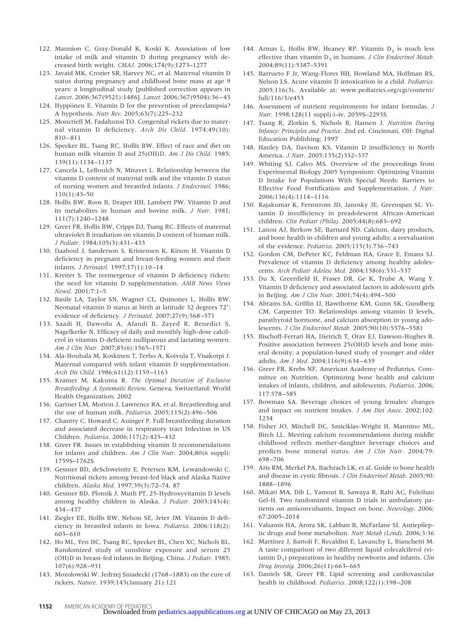- 122. Mannion C, Gray-Donald K, Koski K. Association of low intake of milk and vitamin D during pregnancy with decreased birth weight. *CMAJ.* 2006;174(9):1273–1277
- 123. Javaid MK, Crozier SR, Harvey NC, et al. Maternal vitamin D status during pregnancy and childhood bone mass at age 9 years: a longitudinal study [published correction appears in *Lancet*. 2006;367(9521):1486]. *Lancet.* 2006;367(9504):36 – 43
- 124. Hyppönen E. Vitamin D for the prevention of preeclampsia? A hypothesis. *Nutr Rev.* 2005;63(7):225–232
- 125. Moncrieff M, Fadahunsi TO. Congenital rickets due to maternal vitamin D deficiency. *Arch Dis Child.* 1974;49(10): 810 – 811
- 126. Specker BL, Tsang RC, Hollis BW. Effect of race and diet on human milk vitamin D and 25(OH)D. *Am J Dis Child*. 1985; 139(11):1134 –1137
- 127. Cancela L, LeBoulch N, Miravet L. Relationship between the vitamin D content of maternal milk and the vitamin D status of nursing women and breastfed infants. *J Endocrinol.* 1986; 110(1):43–50
- 128. Hollis BW, Roos B, Draper HH, Lambert PW. Vitamin D and its metabolites in human and bovine milk. *J Nutr.* 1981; 111(7):1240 –1248
- 129. Greer FR, Hollis BW, Cripps DJ, Tsang RC. Effects of maternal ultraviolet B irradiation on vitamin D content of human milk. *J Pediatr.* 1984;105(3):431– 433
- 130. Daaboul J, Sanderson S, Kristensen K, Kitson H. Vitamin D deficiency in pregnant and breast-feeding women and their infants. *J Perinatol.* 1997;17(1):10 –14
- 131. Kreiter S. The reemergence of vitamin D deficiency rickets: the need for vitamin D supplementation. *AMB News Views Newsl.* 2001;7:1–5
- 132. Basile LA, Taylor SN, Wagner CL, Quinones L, Hollis BW. Neonatal vitamin D status at birth at latitude 32 degrees 72 : evidence of deficiency. *J Perinatol.* 2007;27(9):568 –571
- 133. Saadi H, Dawodu A, Afandi B, Zayed R, Benedict S, Nagelkerke N. Efficacy of daily and monthly high-dose calciferol in vitamin D-deficient nulliparous and lactating women. *Am J Clin Nutr.* 2007;85(6):1565–1571
- 134. Ala-Houhala M, Koskinen T, Terho A, Koivula T, Visakorpi J. Maternal compared with infant vitamin D supplementation. *Arch Dis Child.* 1986;61(12):1159 –1163
- 135. Kramer M, Kakuma R. *The Optimal Duration of Exclusive Breastfeeding: A Systematic Review*. Geneva, Switzerland: World Health Organization; 2002
- 136. Gartner LM, Morton J, Lawrence RA, et al. Breastfeeding and the use of human milk. *Pediatrics.* 2005;115(2):496 –506
- 137. Chantry C, Howard C, Auinger P. Full breastfeeding duration and associated decrease in respiratory tract Infection in US Children. *Pediatrics.* 2006;117(2):425– 432
- 138. Greer FR. Issues in establishing vitamin D recommendations for infants and children. *Am J Clin Nutr.* 2004;80(6 suppl): 1759S–1762S
- 139. Gessner BD, deSchweinitz E, Petersen KM, Lewandowski C. Nutritional rickets among breast-fed black and Alaska Native children. *Alaska Med.* 1997;39(3):72–74, 87
- 140. Gessner BD, Plotnik J, Muth PT. 25-Hydroxyvitamin D levels among healthy children in Alaska. *J Pediatr.* 2003;143(4): 434 – 437
- 141. Ziegler EE, Hollis BW, Nelson SE, Jeter JM. Vitamin D deficiency in breastfed infants in Iowa. *Pediatrics.* 2006;118(2): 603– 610
- 142. Ho ML, Yen HC, Tsang RC, Specker BL, Chen XC, Nichols BL. Randomized study of sunshine exposure and serum 25 (OH)D in breast-fed infants in Beijing, China. *J Pediatr.* 1985; 107(6):928 –931
- 143. Mozolowski W. Jedrzej Sniadecki (1768 –1883) on the cure of rickets. *Nature.* 1939;143(January 21):121
- 144. Armas L, Hollis BW, Heaney RP. Vitamin  $D_2$  is much less effective than vitamin D<sub>3</sub> in humans. *J Clin Endocrinol Metab*. 2004;89(11):5387–5391
- 145. Barrueto F Jr, Wang-Flores HH, Howland MA, Hoffman RS, Nelson LS. Acute vitamin D intoxication in a child. *Pediatrics.* 2005;116(3). Available at: www.pediatrics.org/cgi/content/ full/116/3/e453
- 146. Assessment of nutrient requirements for infant formulas. *J Nutr.* 1998;128(11 suppl):i–iv, 2059S–2293S
- 147. Tsang R, Zlotkin S, Nichols B, Hansen J. *Nutrition During Infancy: Principles and Practice*. 2nd ed. Cincinnati, OH: Digital Education Publishing; 1997
- 148. Hanley DA, Davison KS. Vitamin D insufficiency in North America. *J Nutr*. 2005:135(2)332–337
- 149. Whiting SJ, Calvo MS. Overview of the proceedings from Experimental Biology 2005 Symposium: Optimizing Vitamin D Intake for Populations With Special Needs: Barriers to Effective Food Fortification and Supplementation. *J Nutr*. 2006;136(4):1114 –1116
- 150. Rajakumar K, Fernstrom JD, Janosky JE, Greenspan SL. Vitamin D insufficiency in preadolescent African-American children. *Clin Pediatr (Phila).* 2005;44(8):683– 692
- 151. Lanou AJ, Berkow SE, Barnard ND. Calcium, dairy products, and bone health in children and young adults: a reevaluation of the evidence. *Pediatrics.* 2005;115(3):736 –743
- 152. Gordon CM, DePeter KC, Feldman HA, Grace E, Emans SJ. Prevalence of vitamin D deficiency among healthy adolescents. *Arch Pediatr Adolesc Med.* 2004;158(6):531–537
- 153. Du X, Greenfield H, Fraser DR, Ge K, Trube A, Wang Y. Vitamin D deficiency and associated factors in adolescent girls in Beijing. *Am J Clin Nutr.* 2001;74(4):494 –500
- 154. Abrams SA, Griffin IJ, Hawthorne KM, Gunn SK, Gundberg CM, Carpenter TO. Relationships among vitamin D levels, parathyroid hormone, and calcium absorption in young adolescents. *J Clin Endocrinol Metab.* 2005;90(10):5576 –5581
- 155. Bischoff-Ferrari HA, Dietrich T, Orav EJ, Dawson-Hughes B. Positive association between 25(OH)D levels and bone mineral density: a population-based study of younger and older adults. *Am J Med.* 2004;116(9):634 – 639
- 156. Greer FR, Krebs NF, American Academy of Pediatrics, Committee on Nutrition. Optimizing bone health and calcium intakes of infants, children, and adolescents. *Pediatrics*. 2006; 117:578 –585
- 157. Bowman SA. Beverage choices of young females: changes and impact on nutrient intakes. *J Am Diet Assoc*. 2002;102: 1234
- 158. Fisher JO, Mitchell DC, Smiciklas-Wright H, Mannino ML, Birch LL. Meeting calcium recommendations during middle childhood reflects mother-daughter beverage choices and predicts bone mineral status. *Am J Clin Nutr*. 2004;79: 698 –706
- 159. Aris RM, Merkel PA, Bachrach LK, et al. Guide to bone health and disease in cystic fibrosis. *J Clin Endocrinol Metab*. 2005;90: 1888 –1896
- 160. Mikati MA, Dib L, Yamout B, Sawaya R, Rahi AC, Fuleihan Gel-H. Two randomized vitamin D trials in ambulatory patients on anticonvulsants. Impact on bone. *Neurology*. 2006; 67:2005–2014
- 161. Valsamis HA, Arora SK, Labban B, McFarlane SI. Antiepileptic drugs and bone metabolism. *Nutr Metab (Lond)*. 2006;3:36
- 162. Martínez J, Bartoli F, Recaldini E, Lavanchy L, Bianchetti M. A taste comparison of two different liquid colecalciferol (vitamin D<sub>3</sub>) preparations in healthy newborns and infants. *Clin Drug Investig.* 2006;26(11):663– 665
- 163. Daniels SR, Greer FR. Lipid screening and cardiovascular health in childhood. *Pediatrics*. 2008;122(1):198 –208